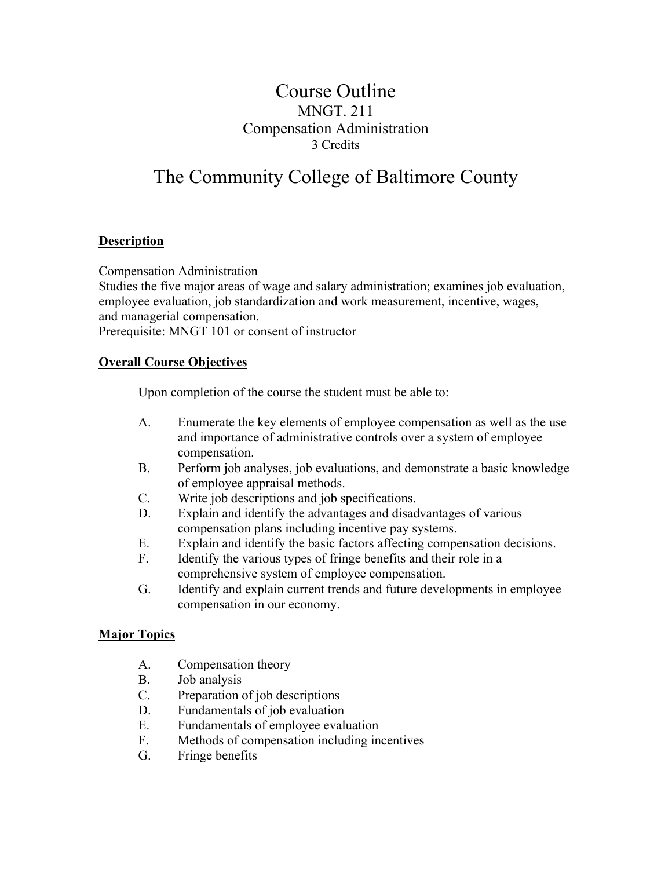## Course Outline MNGT. 211 Compensation Administration 3 Credits

# The Community College of Baltimore County

#### **Description**

Compensation Administration

Studies the five major areas of wage and salary administration; examines job evaluation, employee evaluation, job standardization and work measurement, incentive, wages, and managerial compensation.

Prerequisite: MNGT 101 or consent of instructor

#### **Overall Course Objectives**

Upon completion of the course the student must be able to:

- A. Enumerate the key elements of employee compensation as well as the use and importance of administrative controls over a system of employee compensation.
- B. Perform job analyses, job evaluations, and demonstrate a basic knowledge of employee appraisal methods.
- C. Write job descriptions and job specifications.
- D. Explain and identify the advantages and disadvantages of various compensation plans including incentive pay systems.
- E. Explain and identify the basic factors affecting compensation decisions.
- F. Identify the various types of fringe benefits and their role in a comprehensive system of employee compensation.
- G. Identify and explain current trends and future developments in employee compensation in our economy.

#### **Major Topics**

- A. Compensation theory
- B. Job analysis
- C. Preparation of job descriptions
- D. Fundamentals of job evaluation
- E. Fundamentals of employee evaluation
- F. Methods of compensation including incentives
- G. Fringe benefits